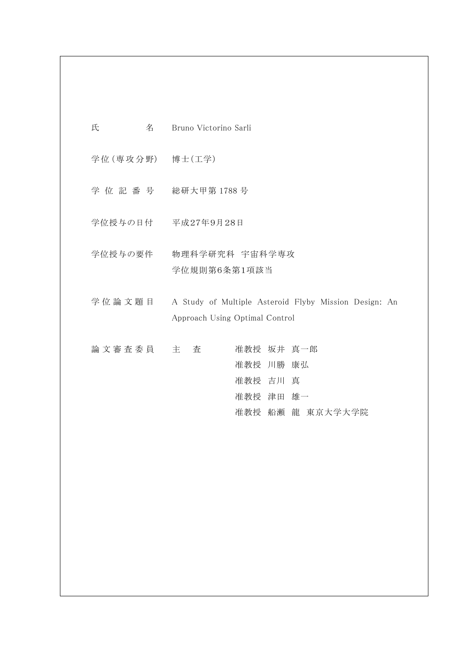| 氏                  | 名 |                                                                                         | Bruno Victorino Sarli |                                                  |  |                  |
|--------------------|---|-----------------------------------------------------------------------------------------|-----------------------|--------------------------------------------------|--|------------------|
|                    |   |                                                                                         |                       |                                                  |  |                  |
| 学位(専攻分野) 博士(工学)    |   |                                                                                         |                       |                                                  |  |                  |
|                    |   | 学位記番号 総研大甲第1788号                                                                        |                       |                                                  |  |                  |
| 学位授与の日付 平成27年9月28日 |   |                                                                                         |                       |                                                  |  |                  |
| 学位授与の要件            |   | 物理科学研究科 宇宙科学専攻<br>学位規則第6条第1項該当                                                          |                       |                                                  |  |                  |
| 学位論文題目             |   | A Study of Multiple Asteroid Flyby Mission Design: An<br>Approach Using Optimal Control |                       |                                                  |  |                  |
| 論文審査委員             |   | 主                                                                                       | 査                     | 准教授 坂井 真一郎<br>准教授 川勝 康弘<br>准教授 吉川 真<br>准教授 津田 雄一 |  | 准教授 船瀬 龍 東京大学大学院 |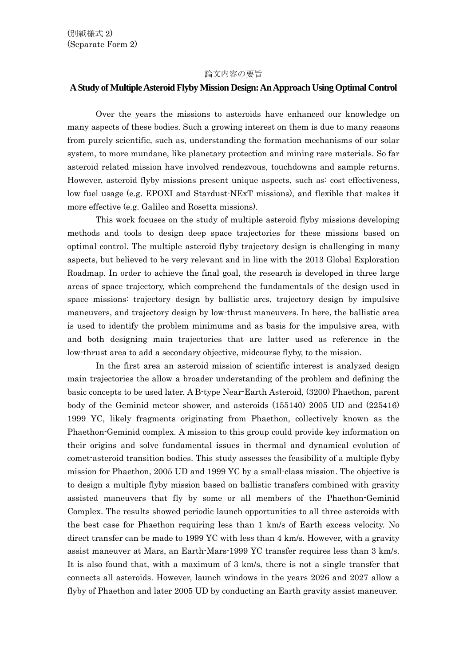## 論文内容の要旨

## **A Study of Multiple Asteroid Flyby Mission Design: An Approach Using Optimal Control**

 Over the years the missions to asteroids have enhanced our knowledge on many aspects of these bodies. Such a growing interest on them is due to many reasons from purely scientific, such as, understanding the formation mechanisms of our solar system, to more mundane, like planetary protection and mining rare materials. So far asteroid related mission have involved rendezvous, touchdowns and sample returns. However, asteroid flyby missions present unique aspects, such as: cost effectiveness, low fuel usage (e.g. EPOXI and Stardust-NExT missions), and flexible that makes it more effective (e.g. Galileo and Rosetta missions).

 This work focuses on the study of multiple asteroid flyby missions developing methods and tools to design deep space trajectories for these missions based on optimal control. The multiple asteroid flyby trajectory design is challenging in many aspects, but believed to be very relevant and in line with the 2013 Global Exploration Roadmap. In order to achieve the final goal, the research is developed in three large areas of space trajectory, which comprehend the fundamentals of the design used in space missions: trajectory design by ballistic arcs, trajectory design by impulsive maneuvers, and trajectory design by low-thrust maneuvers. In here, the ballistic area is used to identify the problem minimums and as basis for the impulsive area, with and both designing main trajectories that are latter used as reference in the low-thrust area to add a secondary objective, midcourse flyby, to the mission.

 In the first area an asteroid mission of scientific interest is analyzed design main trajectories the allow a broader understanding of the problem and defining the basic concepts to be used later. A B-type Near-Earth Asteroid, (3200) Phaethon, parent body of the Geminid meteor shower, and asteroids (155140) 2005 UD and (225416) 1999 YC, likely fragments originating from Phaethon, collectively known as the Phaethon-Geminid complex. A mission to this group could provide key information on their origins and solve fundamental issues in thermal and dynamical evolution of comet-asteroid transition bodies. This study assesses the feasibility of a multiple flyby mission for Phaethon, 2005 UD and 1999 YC by a small-class mission. The objective is to design a multiple flyby mission based on ballistic transfers combined with gravity assisted maneuvers that fly by some or all members of the Phaethon-Geminid Complex. The results showed periodic launch opportunities to all three asteroids with the best case for Phaethon requiring less than 1 km/s of Earth excess velocity. No direct transfer can be made to 1999 YC with less than 4 km/s. However, with a gravity assist maneuver at Mars, an Earth-Mars-1999 YC transfer requires less than 3 km/s. It is also found that, with a maximum of 3 km/s, there is not a single transfer that connects all asteroids. However, launch windows in the years 2026 and 2027 allow a flyby of Phaethon and later 2005 UD by conducting an Earth gravity assist maneuver.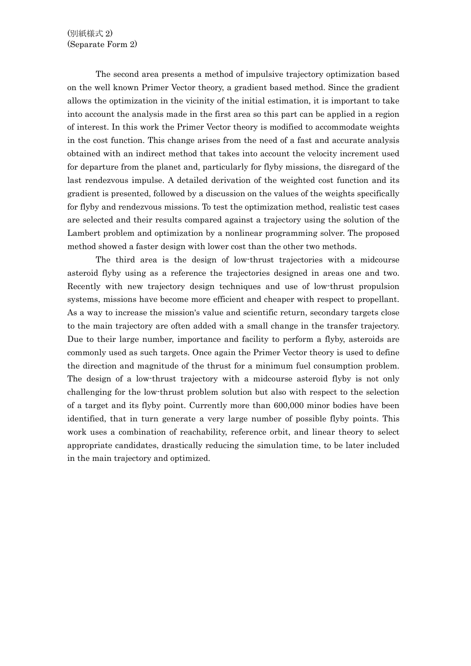The second area presents a method of impulsive trajectory optimization based on the well known Primer Vector theory, a gradient based method. Since the gradient allows the optimization in the vicinity of the initial estimation, it is important to take into account the analysis made in the first area so this part can be applied in a region of interest. In this work the Primer Vector theory is modified to accommodate weights in the cost function. This change arises from the need of a fast and accurate analysis obtained with an indirect method that takes into account the velocity increment used for departure from the planet and, particularly for flyby missions, the disregard of the last rendezvous impulse. A detailed derivation of the weighted cost function and its gradient is presented, followed by a discussion on the values of the weights specifically for flyby and rendezvous missions. To test the optimization method, realistic test cases are selected and their results compared against a trajectory using the solution of the Lambert problem and optimization by a nonlinear programming solver. The proposed method showed a faster design with lower cost than the other two methods.

 The third area is the design of low-thrust trajectories with a midcourse asteroid flyby using as a reference the trajectories designed in areas one and two. Recently with new trajectory design techniques and use of low-thrust propulsion systems, missions have become more efficient and cheaper with respect to propellant. As a way to increase the mission's value and scientific return, secondary targets close to the main trajectory are often added with a small change in the transfer trajectory. Due to their large number, importance and facility to perform a flyby, asteroids are commonly used as such targets. Once again the Primer Vector theory is used to define the direction and magnitude of the thrust for a minimum fuel consumption problem. The design of a low-thrust trajectory with a midcourse asteroid flyby is not only challenging for the low-thrust problem solution but also with respect to the selection of a target and its flyby point. Currently more than 600,000 minor bodies have been identified, that in turn generate a very large number of possible flyby points. This work uses a combination of reachability, reference orbit, and linear theory to select appropriate candidates, drastically reducing the simulation time, to be later included in the main trajectory and optimized.